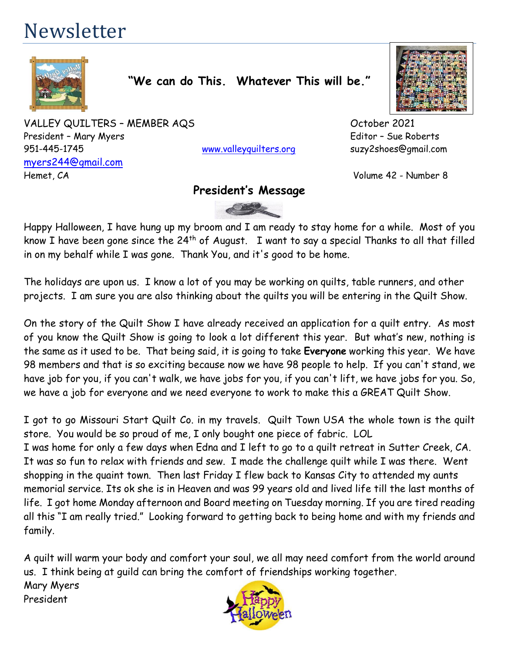# Newsletter



**"We can do This. Whatever This will be."**

VALLEY QUILTERS – MEMBER AQS October 2021 President – Mary Myers **Editor – Sue Roberts** 951-445-1745 [www.valleyquilters.org](http://www.valleyquilters.org/) suzy2shoes@gmail.com [myers244@gmail.com](mailto:myers244@gmail.com) Hemet, CA Volume 42 - Number 8

# **President's Message**



Happy Halloween, I have hung up my broom and I am ready to stay home for a while. Most of you know I have been gone since the 24th of August. I want to say a special Thanks to all that filled in on my behalf while I was gone. Thank You, and it's good to be home.

The holidays are upon us. I know a lot of you may be working on quilts, table runners, and other projects. I am sure you are also thinking about the quilts you will be entering in the Quilt Show.

On the story of the Quilt Show I have already received an application for a quilt entry. As most of you know the Quilt Show is going to look a lot different this year. But what's new, nothing is the same as it used to be. That being said, it is going to take **Everyone** working this year. We have 98 members and that is so exciting because now we have 98 people to help. If you can't stand, we have job for you, if you can't walk, we have jobs for you, if you can't lift, we have jobs for you. So, we have a job for everyone and we need everyone to work to make this a GREAT Quilt Show.

I got to go Missouri Start Quilt Co. in my travels. Quilt Town USA the whole town is the quilt store. You would be so proud of me, I only bought one piece of fabric. LOL I was home for only a few days when Edna and I left to go to a quilt retreat in Sutter Creek, CA. It was so fun to relax with friends and sew. I made the challenge quilt while I was there. Went shopping in the quaint town. Then last Friday I flew back to Kansas City to attended my aunts memorial service. Its ok she is in Heaven and was 99 years old and lived life till the last months of life. I got home Monday afternoon and Board meeting on Tuesday morning. If you are tired reading all this "I am really tried." Looking forward to getting back to being home and with my friends and family.

A quilt will warm your body and comfort your soul, we all may need comfort from the world around us. I think being at guild can bring the comfort of friendships working together. Mary Myers President

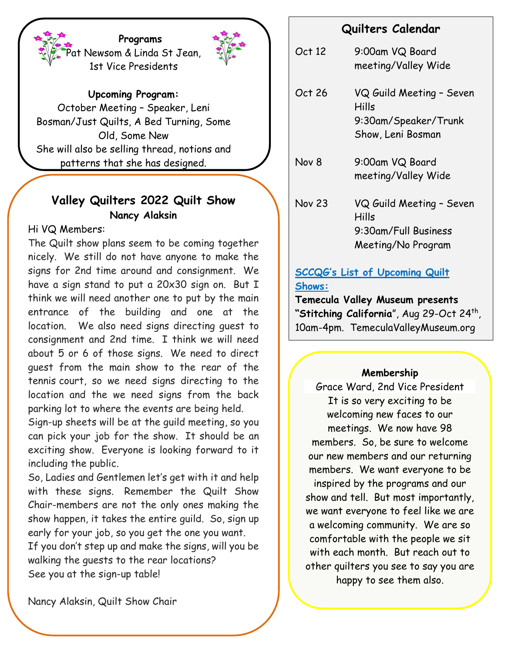**Programs** at Newsom & Linda St Jean, 1st Vice Presidents



**Upcoming Program:**

October Meeting – Speaker, Leni Bosman/Just Quilts, A Bed Turning, Some Old, Some New She will also be selling thread, notions and patterns that she has designed.

# **Valley Quilters 2022 Quilt Show Nancy Alaksin**

Hi VQ Members:

The Quilt show plans seem to be coming together nicely. We still do not have anyone to make the signs for 2nd time around and consignment. We have a sign stand to put a 20x30 sign on. But I think we will need another one to put by the main entrance of the building and one at the location. We also need signs directing guest to consignment and 2nd time. I think we will need about 5 or 6 of those signs. We need to direct guest from the main show to the rear of the tennis court, so we need signs directing to the location and the we need signs from the back parking lot to where the events are being held.

Sign-up sheets will be at the guild meeting, so you can pick your job for the show. It should be an exciting show. Everyone is looking forward to it including the public.

So, Ladies and Gentlemen let's get with it and help with these signs. Remember the Quilt Show Chair-members are not the only ones making the show happen, it takes the entire guild. So, sign up early for your job, so you get the one you want. If you don't step up and make the signs, will you be walking the guests to the rear locations? See you at the sign-up table!

# **Quilters Calendar**

| Oct 12        | 9:00am VQ Board<br>meeting/Valley Wide                                          |
|---------------|---------------------------------------------------------------------------------|
| Oct 26        | VQ Guild Meeting - Seven<br>Hills<br>9:30am/Speaker/Trunk<br>Show, Leni Bosman  |
| Nov 8         | 9:00am VQ Board<br>meeting/Valley Wide                                          |
| <b>Nov 23</b> | VQ Guild Meeting - Seven<br>Hills<br>9:30am/Full Business<br>Meeting/No Program |

# **SCCQG's List of Upcoming Quilt Shows:**

**Temecula Valley Museum presents**  "**Stitching California**", Aug 29-Oct 24<sup>th</sup>, 10am-4pm. TemeculaValleyMuseum.org

# **Membership**

Grace Ward, 2nd Vice President It is so very exciting to be welcoming new faces to our meetings. We now have 98 members. So, be sure to welcome our new members and our returning members. We want everyone to be inspired by the programs and our show and tell. But most importantly, we want everyone to feel like we are a welcoming community. We are so comfortable with the people we sit with each month. But reach out to other quilters you see to say you are happy to see them also.

Nancy Alaksin, Quilt Show Chair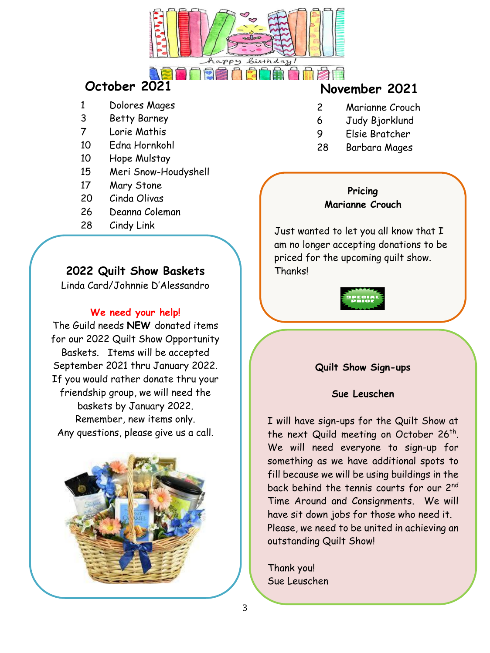

- 1 Dolores Mages
- 3 Betty Barney
- 7 Lorie Mathis
- 10 Edna Hornkohl
- 10 Hope Mulstay
- 15 Meri Snow-Houdyshell
- 17 Mary Stone
- 20 Cinda Olivas
- 26 Deanna Coleman
- 28 Cindy Link

# **2022 Quilt Show Baskets**

Linda Card/Johnnie D'Alessandro

# **We need your help!**

The Guild needs **NEW** donated items for our 2022 Quilt Show Opportunity Baskets. Items will be accepted September 2021 thru January 2022. If you would rather donate thru your friendship group, we will need the baskets by January 2022. Remember, new items only. Any questions, please give us a call.



# **October 2021 November 2021**

- 2 Marianne Crouch
- 6 Judy Bjorklund
- 9 Elsie Bratcher
- 28 Barbara Mages

# **Pricing Marianne Crouch**

Just wanted to let you all know that I am no longer accepting donations to be priced for the upcoming quilt show. **Thanks!** 



# **Quilt Show Sign-ups**

# **Sue Leuschen**

I will have sign-ups for the Quilt Show at the next Quild meeting on October 26<sup>th</sup>. We will need everyone to sign-up for something as we have additional spots to fill because we will be using buildings in the back behind the tennis courts for our 2<sup>nd</sup> Time Around and Consignments. We will have sit down jobs for those who need it. Please, we need to be united in achieving an outstanding Quilt Show!

Thank you! Sue Leuschen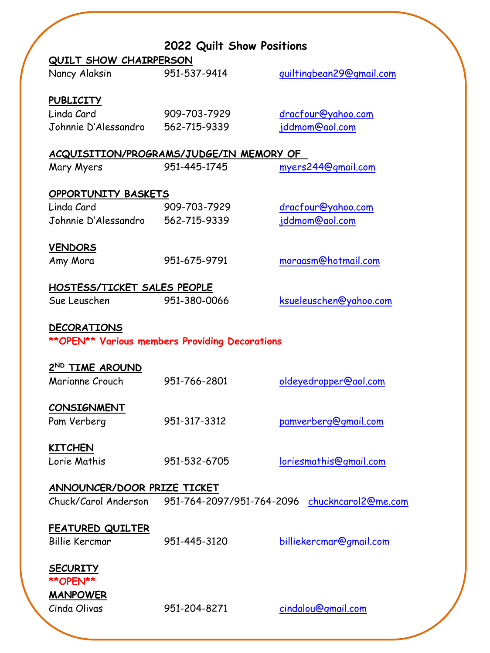|                                         | 2022 Quilt Show Positions                             |                               |  |  |
|-----------------------------------------|-------------------------------------------------------|-------------------------------|--|--|
| QUILT SHOW CHAIRPERSON                  |                                                       |                               |  |  |
| Nancy Alaksin                           | 951-537-9414                                          | guiltingbean29@gmail.com      |  |  |
|                                         |                                                       |                               |  |  |
| <b>PUBLICITY</b>                        |                                                       |                               |  |  |
| Linda Card                              | 909-703-7929                                          | dracfour@yahoo.com            |  |  |
| Johnnie D'Alessandro 562-715-9339       |                                                       | jddmom@aol.com                |  |  |
|                                         |                                                       |                               |  |  |
| ACQUISITION/PROGRAMS/JUDGE/IN MEMORY OF |                                                       |                               |  |  |
| Mary Myers                              | 951-445-1745                                          | myers244@gmail.com            |  |  |
|                                         |                                                       |                               |  |  |
| <b>OPPORTUNITY BASKETS</b>              |                                                       |                               |  |  |
| Linda Card                              | 909-703-7929                                          | dracfour@yahoo.com            |  |  |
| Johnnie D'Alessandro 562-715-9339       |                                                       | jddmom@aol.com                |  |  |
|                                         |                                                       |                               |  |  |
| <b>VENDORS</b>                          |                                                       |                               |  |  |
| Amy Mora                                | 951-675-9791                                          | moraasm@hotmail.com           |  |  |
|                                         |                                                       |                               |  |  |
| HOSTESS/TICKET SALES PEOPLE             |                                                       |                               |  |  |
| Sue Leuschen                            | 951-380-0066                                          | ksueleuschen@yahoo.com        |  |  |
|                                         |                                                       |                               |  |  |
| <b>DECORATIONS</b>                      |                                                       |                               |  |  |
|                                         | <b>**OPEN** Various members Providing Decorations</b> |                               |  |  |
| 2 <sup>ND</sup> TIME AROUND             |                                                       |                               |  |  |
| Marianne Crouch                         | 951-766-2801                                          | oldeyedropper@aol.com         |  |  |
|                                         |                                                       |                               |  |  |
| <b>CONSIGNMENT</b>                      |                                                       |                               |  |  |
| Pam Verberg                             | 951-317-3312                                          | pamverberg@gmail.com          |  |  |
|                                         |                                                       |                               |  |  |
| <b>KITCHEN</b>                          |                                                       |                               |  |  |
| Lorie Mathis                            | 951-532-6705                                          | <u>loriesmathis@gmail.com</u> |  |  |
|                                         |                                                       |                               |  |  |
| ANNOUNCER/DOOR PRIZE TICKET             |                                                       |                               |  |  |
| Chuck/Carol Anderson                    | 951-764-2097/951-764-2096                             | chuckncarol2@me.com           |  |  |
|                                         |                                                       |                               |  |  |
| <b>FEATURED QUILTER</b>                 |                                                       |                               |  |  |
| <b>Billie Kercmar</b>                   | 951-445-3120                                          | billiekercmar@gmail.com       |  |  |
|                                         |                                                       |                               |  |  |
| <b>SECURITY</b>                         |                                                       |                               |  |  |
| <b>**OPEN**</b>                         |                                                       |                               |  |  |
| <b>MANPOWER</b>                         |                                                       |                               |  |  |
| Cinda Olivas                            | 951-204-8271                                          | cindalou@gmail.com            |  |  |
|                                         |                                                       |                               |  |  |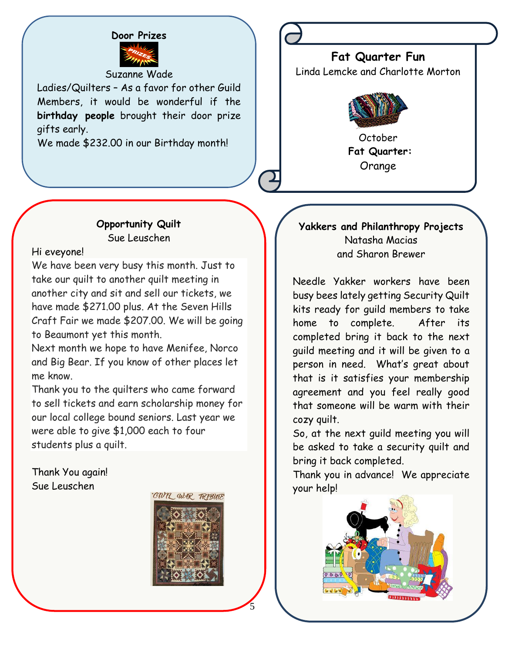# **Door Prizes**

### Suzanne Wade

Ladies/Quilters – As a favor for other Guild Members, it would be wonderful if the **birthday people** brought their door prize gifts early.

We made \$232.00 in our Birthday month!

**Fat Quarter Fun** Linda Lemcke and Charlotte Morton



October **Fat Quarter:** Orange

# **Opportunity Quilt** Sue Leuschen

Hi eveyone!

We have been very busy this month. Just to take our quilt to another quilt meeting in another city and sit and sell our tickets, we have made \$271.00 plus. At the Seven Hills Craft Fair we made \$207.00. We will be going to Beaumont yet this month.

Next month we hope to have Menifee, Norco and Big Bear. If you know of other places let me know.

Thank you to the quilters who came forward to sell tickets and earn scholarship money for our local college bound seniors. Last year we were able to give \$1,000 each to four students plus a quilt.

Thank You again! Sue Leuschen



5

# **Yakkers and Philanthropy Projects** Natasha Macias and Sharon Brewer

Needle Yakker workers have been busy bees lately getting Security Quilt kits ready for guild members to take home to complete. After its completed bring it back to the next guild meeting and it will be given to a person in need. What's great about that is it satisfies your membership agreement and you feel really good that someone will be warm with their cozy quilt.

So, at the next guild meeting you will be asked to take a security quilt and bring it back completed.

Thank you in advance! We appreciate your help!

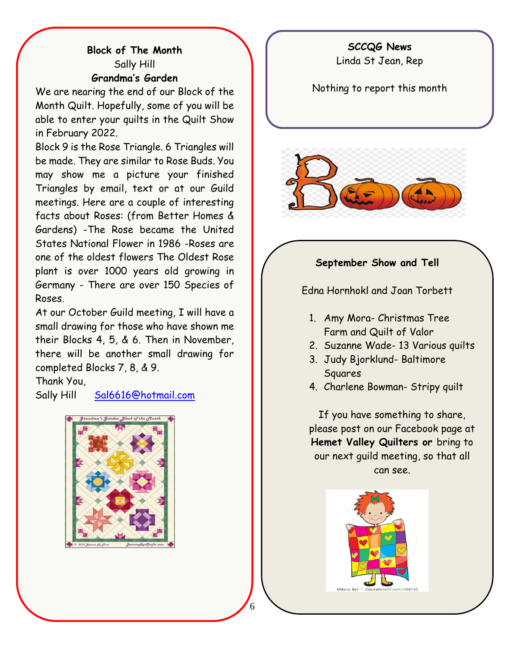# **SCCQG News**

# Linda St Jean, Rep

# **Block of The Month** Sally Hill **Grandma's Garden**

We are nearing the end of our Block of the Month Quilt. Hopefully, some of you will be able to enter your quilts in the Quilt Show in February 2022.

Block 9 is the Rose Triangle. 6 Triangles will be made. They are similar to Rose Buds. You may show me a picture your finished Triangles by email, text or at our Guild meetings. Here are a couple of interesting facts about Roses: (from Better Homes & Gardens) -The Rose became the United States National Flower in 1986 -Roses are one of the oldest flowers The Oldest Rose plant is over 1000 years old growing in Germany - There are over 150 Species of Roses.

At our October Guild meeting, I will have a small drawing for those who have shown me their Blocks 4, 5, & 6. Then in November, there will be another small drawing for completed Blocks 7, 8, & 9.

Thank You,

Sally Hill [Sal6616@hotmail.com](mailto:Sal6616@hotmail.com)



Nothing to report this month



# **September Show and Tell**

Edna Hornhokl and Joan Torbett

- 1. Amy Mora- Christmas Tree Farm and Quilt of Valor
- 2. Suzanne Wade- 13 Various quilts
- 3. Judy Bjorklund- Baltimore Squares
- 4. Charlene Bowman- Stripy quilt

If you have something to share, please post on our Facebook page at **Hemet Valley Quilters or** bring to our next guild meeting, so that all can see.

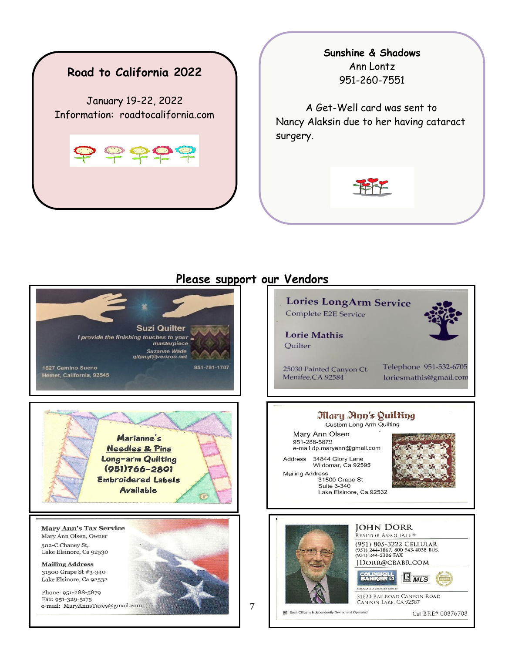

# **Sunshine & Shadows** Ann Lontz 951-260-7551

A Get-Well card was sent to Nancy Alaksin due to her having cataract surgery.



# **Suzi Quilter** I provide the finishing touches to your masterpiece **Suzanne Wade** qltangl@verizon.net 1627 Camino Sueno 951-791-1707 Hemet, California, 92545



**Mary Ann's Tax Service** Mary Ann Olsen, Owner 502-C Chaney St, Lake Elsinore, Ca 92530

**Mailing Address** 31500 Grape St #3-340 Lake Elsinore, Ca 92532

Phone: 951-288-5879 Fax: 951-329-5175 e-mail: MaryAnnsTaxes@gmail.com

# **Please support our Vendors**





7